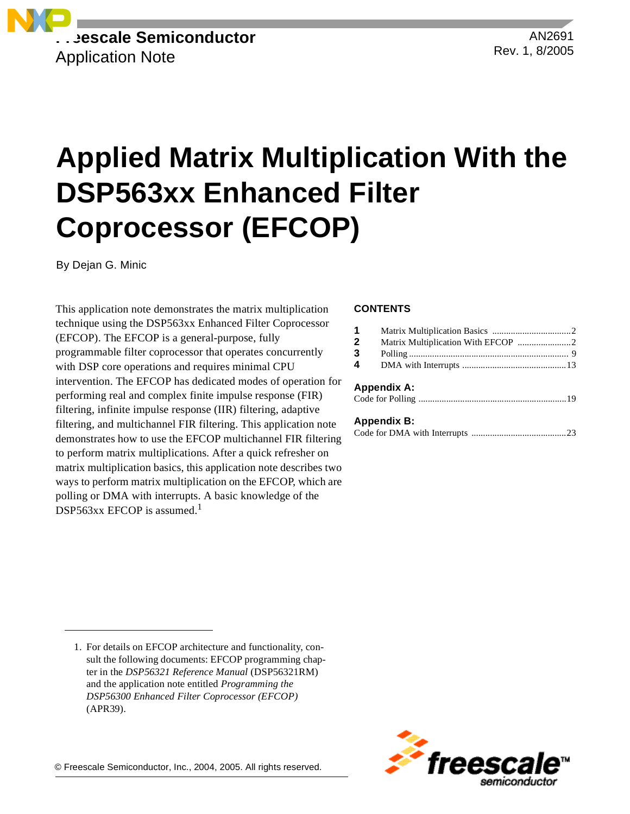

AN2691 Rev. 1, 8/2005

## **Applied Matrix Multiplication With the DSP563xx Enhanced Filter Coprocessor (EFCOP)**

By Dejan G. Minic

This application note demonstrates the matrix multiplication technique using the DSP563xx Enhanced Filter Coprocessor (EFCOP). The EFCOP is a general-purpose, fully programmable filter coprocessor that operates concurrently with DSP core operations and requires minimal CPU intervention. The EFCOP has dedicated modes of operation for performing real and complex finite impulse response (FIR) filtering, infinite impulse response (IIR) filtering, adaptive filtering, and multichannel FIR filtering. This application note demonstrates how to use the EFCOP multichannel FIR filtering to perform matrix multiplications. After a quick refresher on matrix multiplication basics, this application note describes two ways to perform matrix multiplication on the EFCOP, which are polling or DMA with interrupts. A basic knowledge of the DSP563xx EFCOP is assumed.<sup>1</sup>

### **CONTENTS**

| $\mathbf 1$<br>$\mathbf{2}$<br>3<br>4 |                    |  |
|---------------------------------------|--------------------|--|
|                                       | <b>Appendix A:</b> |  |

### **Appendix B:**

| _____ |  |  |
|-------|--|--|
|       |  |  |



<sup>1.</sup> For details on EFCOP architecture and functionality, consult the following documents: EFCOP programming chapter in the *DSP56321 Reference Manual* (DSP56321RM) and the application note entitled *Programming the DSP56300 Enhanced Filter Coprocessor (EFCOP)*  (APR39).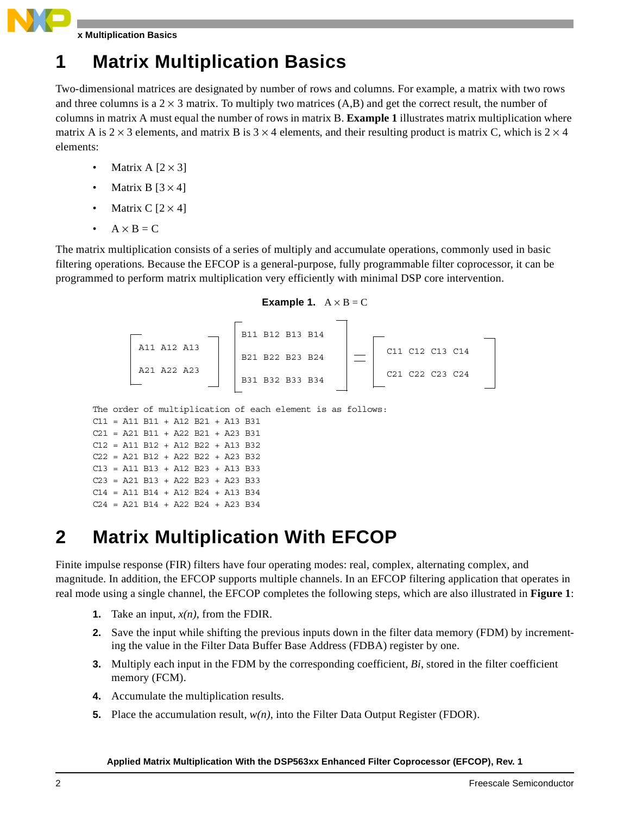**Matrix Multiplication Basics**

## **1 Matrix Multiplication Basics**

Two-dimensional matrices are designated by number of rows and columns. For example, a matrix with two rows and three columns is a  $2 \times 3$  matrix. To multiply two matrices  $(A,B)$  and get the correct result, the number of columns in matrix A must equal the number of rows in matrix B. **[Example 1](#page-1-0)** illustrates matrix multiplication where matrix A is  $2 \times 3$  elements, and matrix B is  $3 \times 4$  elements, and their resulting product is matrix C, which is  $2 \times 4$ elements:

- Matrix A  $[2 \times 3]$
- Matrix B  $[3 \times 4]$
- Matrix C  $[2 \times 4]$
- $A \times B = C$

<span id="page-1-0"></span>The matrix multiplication consists of a series of multiply and accumulate operations, commonly used in basic filtering operations. Because the EFCOP is a general-purpose, fully programmable filter coprocessor, it can be programmed to perform matrix multiplication very efficiently with minimal DSP core intervention.

**Example 1.**  $A \times B = C$ 

|             | B11 B12 B13 B14 |                                                                 |
|-------------|-----------------|-----------------------------------------------------------------|
| A11 A12 A13 | B21 B22 B23 B24 | C11 C12 C13 C14                                                 |
| A21 A22 A23 | B31 B32 B33 B34 | C <sub>21</sub> C <sub>22</sub> C <sub>23</sub> C <sub>24</sub> |

The order of multiplication of each element is as follows:

C11 = A11 B11 + A12 B21 + A13 B31 C21 = A21 B11 + A22 B21 + A23 B31 C12 = A11 B12 + A12 B22 + A13 B32 C22 = A21 B12 + A22 B22 + A23 B32 C13 = A11 B13 + A12 B23 + A13 B33 C23 = A21 B13 + A22 B23 + A23 B33 C14 = A11 B14 + A12 B24 + A13 B34 C24 = A21 B14 + A22 B24 + A23 B34

## **2 Matrix Multiplication With EFCOP**

Finite impulse response (FIR) filters have four operating modes: real, complex, alternating complex, and magnitude. In addition, the EFCOP supports multiple channels. In an EFCOP filtering application that operates in real mode using a single channel, the EFCOP completes the following steps, which are also illustrated in **[Figure 1](#page-2-0)**:

- **1.** Take an input,  $x(n)$ , from the FDIR.
- **2.** Save the input while shifting the previous inputs down in the filter data memory (FDM) by incrementing the value in the Filter Data Buffer Base Address (FDBA) register by one.
- **3.** Multiply each input in the FDM by the corresponding coefficient, *Bi*, stored in the filter coefficient memory (FCM).
- **4.** Accumulate the multiplication results.
- **5.** Place the accumulation result,  $w(n)$ , into the Filter Data Output Register (FDOR).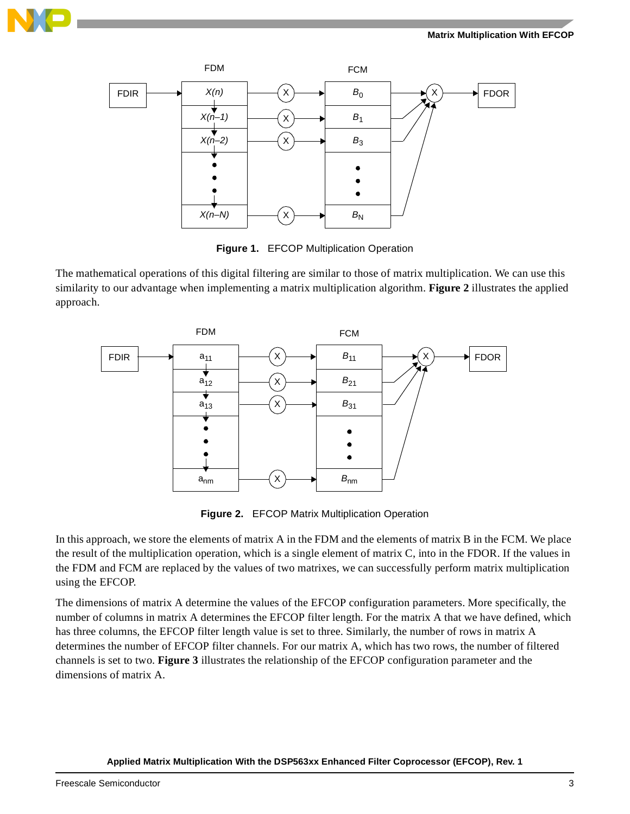



**Figure 1.** EFCOP Multiplication Operation

<span id="page-2-0"></span>The mathematical operations of this digital filtering are similar to those of matrix multiplication. We can use this similarity to our advantage when implementing a matrix multiplication algorithm. **[Figure 2](#page-2-1)** illustrates the applied approach.



**Figure 2.** EFCOP Matrix Multiplication Operation

<span id="page-2-1"></span>In this approach, we store the elements of matrix A in the FDM and the elements of matrix B in the FCM. We place the result of the multiplication operation, which is a single element of matrix C, into in the FDOR. If the values in the FDM and FCM are replaced by the values of two matrixes, we can successfully perform matrix multiplication using the EFCOP.

The dimensions of matrix A determine the values of the EFCOP configuration parameters. More specifically, the number of columns in matrix A determines the EFCOP filter length. For the matrix A that we have defined, which has three columns, the EFCOP filter length value is set to three. Similarly, the number of rows in matrix A determines the number of EFCOP filter channels. For our matrix A, which has two rows, the number of filtered channels is set to two. **[Figure 3](#page-3-0)** illustrates the relationship of the EFCOP configuration parameter and the dimensions of matrix A.

**Applied Matrix Multiplication With the DSP563xx Enhanced Filter Coprocessor (EFCOP), Rev. 1**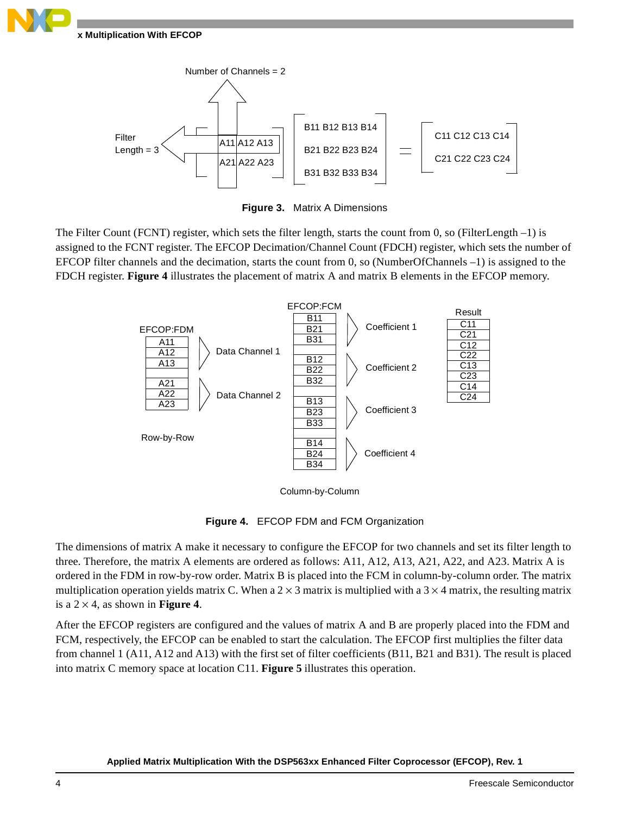



**Figure 3.** Matrix A Dimensions

<span id="page-3-0"></span>The Filter Count (FCNT) register, which sets the filter length, starts the count from 0, so (FilterLength –1) is assigned to the FCNT register. The EFCOP Decimation/Channel Count (FDCH) register, which sets the number of EFCOP filter channels and the decimation, starts the count from 0, so (NumberOfChannels –1) is assigned to the FDCH register. **[Figure 4](#page-3-1)** illustrates the placement of matrix A and matrix B elements in the EFCOP memory.



Column-by-Column

**Figure 4.** EFCOP FDM and FCM Organization

<span id="page-3-1"></span>The dimensions of matrix A make it necessary to configure the EFCOP for two channels and set its filter length to three. Therefore, the matrix A elements are ordered as follows: A11, A12, A13, A21, A22, and A23. Matrix A is ordered in the FDM in row-by-row order. Matrix B is placed into the FCM in column-by-column order. The matrix multiplication operation yields matrix C. When a  $2 \times 3$  matrix is multiplied with a  $3 \times 4$  matrix, the resulting matrix is a  $2 \times 4$ , as shown in **[Figure 4](#page-3-1)**.

After the EFCOP registers are configured and the values of matrix A and B are properly placed into the FDM and FCM, respectively, the EFCOP can be enabled to start the calculation. The EFCOP first multiplies the filter data from channel 1 (A11, A12 and A13) with the first set of filter coefficients (B11, B21 and B31). The result is placed into matrix C memory space at location C11. **[Figure 5](#page-4-0)** illustrates this operation.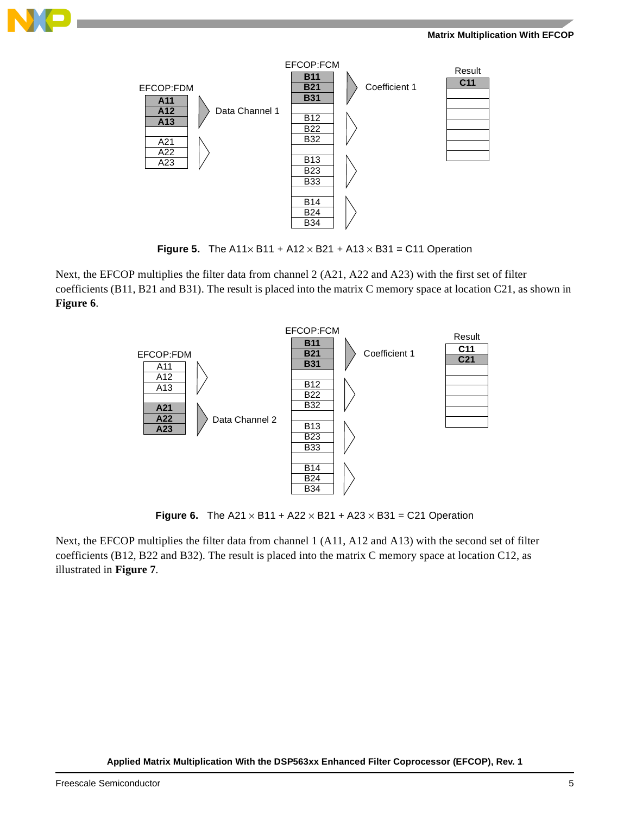

**Figure 5.** The A11× B11 *+* A12 × B21 *+* A13 × B31 = C11 Operation

<span id="page-4-0"></span>Next, the EFCOP multiplies the filter data from channel 2 (A21, A22 and A23) with the first set of filter coefficients (B11, B21 and B31). The result is placed into the matrix C memory space at location C21, as shown in **[Figure 6](#page-4-1)**.



**Figure 6.** The A21  $\times$  B11 + A22  $\times$  B21 + A23  $\times$  B31 = C21 Operation

<span id="page-4-1"></span>Next, the EFCOP multiplies the filter data from channel 1 (A11, A12 and A13) with the second set of filter coefficients (B12, B22 and B32). The result is placed into the matrix C memory space at location C12, as illustrated in **[Figure 7](#page-5-0)**.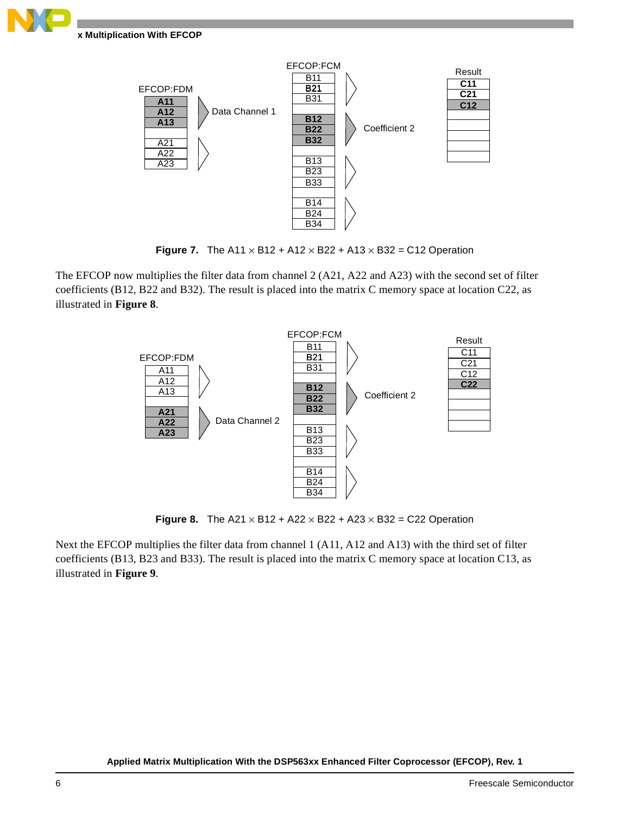



**Figure 7.** The A11  $\times$  B12 + A12  $\times$  B22 + A13  $\times$  B32 = C12 Operation

<span id="page-5-0"></span>The EFCOP now multiplies the filter data from channel 2 (A21, A22 and A23) with the second set of filter coefficients (B12, B22 and B32). The result is placed into the matrix C memory space at location C22, as illustrated in **[Figure 8](#page-5-1)**.



**Figure 8.** The A21  $\times$  B12 + A22  $\times$  B22 + A23  $\times$  B32 = C22 Operation

<span id="page-5-1"></span>Next the EFCOP multiplies the filter data from channel 1 (A11, A12 and A13) with the third set of filter coefficients (B13, B23 and B33). The result is placed into the matrix C memory space at location C13, as illustrated in **[Figure 9](#page-6-0)**.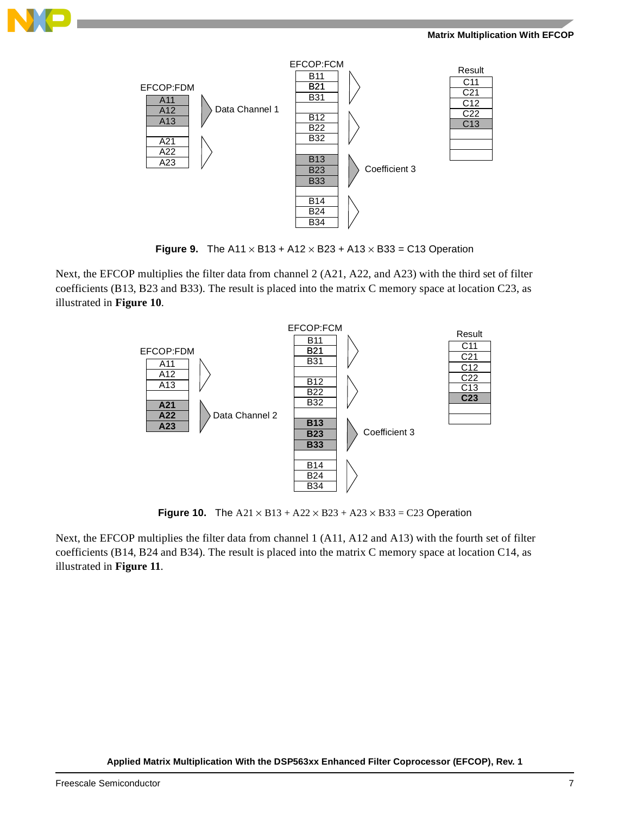

**Figure 9.** The A11  $\times$  B13 + A12  $\times$  B23 + A13  $\times$  B33 = C13 Operation

<span id="page-6-0"></span>Next, the EFCOP multiplies the filter data from channel 2 (A21, A22, and A23) with the third set of filter coefficients (B13, B23 and B33). The result is placed into the matrix C memory space at location C23, as illustrated in **[Figure 10](#page-6-1)**.



**Figure 10.** The  $A21 \times B13 + A22 \times B23 + A23 \times B33 = C23$  Operation

<span id="page-6-1"></span>Next, the EFCOP multiplies the filter data from channel 1 (A11, A12 and A13) with the fourth set of filter coefficients (B14, B24 and B34). The result is placed into the matrix C memory space at location C14, as illustrated in **[Figure 11](#page-7-0)**.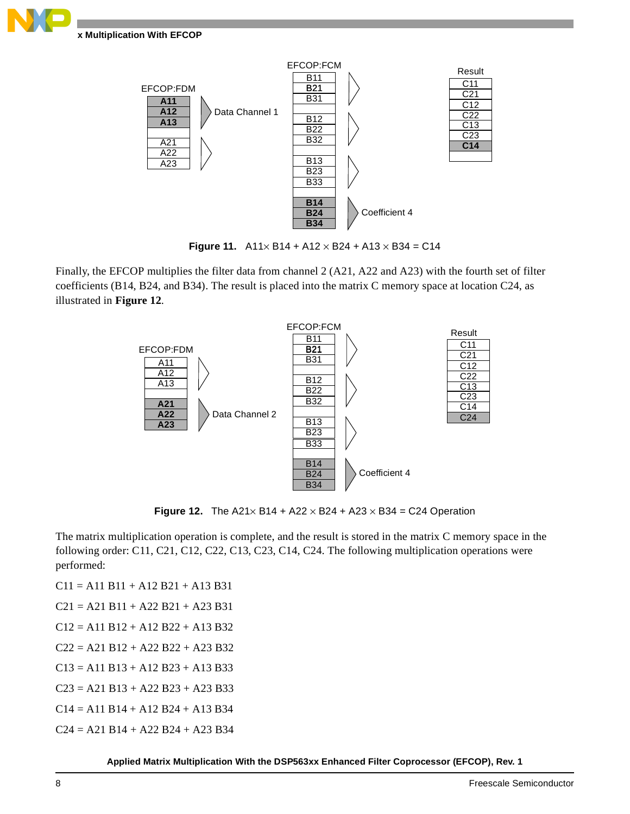



**Figure 11.** A11 $\times$  B14 + A12  $\times$  B24 + A13  $\times$  B34 = C14

<span id="page-7-0"></span>Finally, the EFCOP multiplies the filter data from channel 2 (A21, A22 and A23) with the fourth set of filter coefficients (B14, B24, and B34). The result is placed into the matrix C memory space at location C24, as illustrated in **[Figure 12](#page-7-1)**.



**Figure 12.** The A21 $\times$  B14 + A22  $\times$  B24 + A23  $\times$  B34 = C24 Operation

<span id="page-7-1"></span>The matrix multiplication operation is complete, and the result is stored in the matrix C memory space in the following order: C11, C21, C12, C22, C13, C23, C14, C24. The following multiplication operations were performed:

 $C11 = A11 B11 + A12 B21 + A13 B31$ 

 $C21 = A21 B11 + A22 B21 + A23 B31$ 

 $C12 = A11 B12 + A12 B22 + A13 B32$ 

 $C22 = A21 B12 + A22 B22 + A23 B32$ 

 $C13 = A11 B13 + A12 B23 + A13 B33$ 

 $C23 = A21 B13 + A22 B23 + A23 B33$ 

 $C14 = A11 B14 + A12 B24 + A13 B34$ 

 $C24 = A21 B14 + A22 B24 + A23 B34$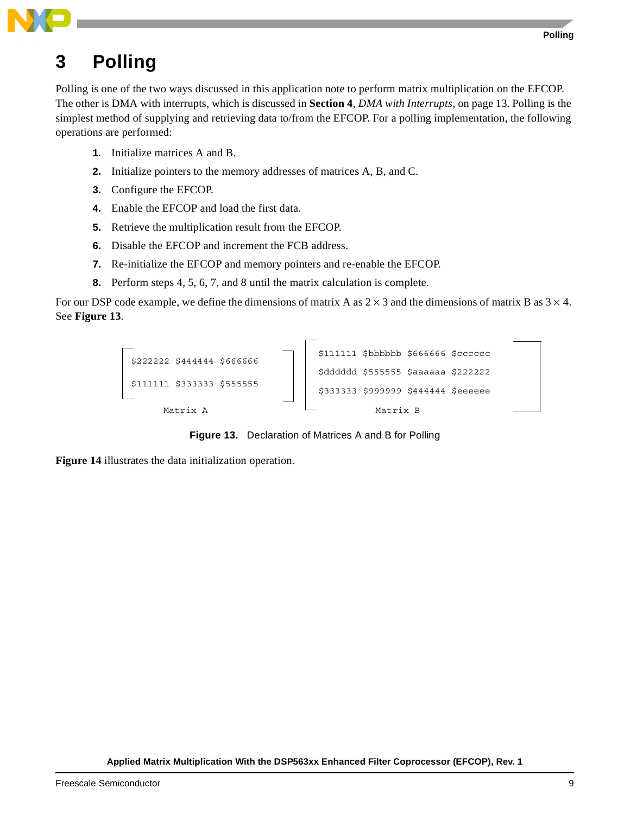## **3 Polling**

Polling is one of the two ways discussed in this application note to perform matrix multiplication on the EFCOP. The other is DMA with interrupts, which is discussed in **Section 4**, *[DMA with Interrupts,](#page-12-0)* on page 13. Polling is the simplest method of supplying and retrieving data to/from the EFCOP. For a polling implementation, the following operations are performed:

- **1.** Initialize matrices A and B.
- **2.** Initialize pointers to the memory addresses of matrices A, B, and C.
- **3.** Configure the EFCOP.
- **4.** Enable the EFCOP and load the first data.
- **5.** Retrieve the multiplication result from the EFCOP.
- **6.** Disable the EFCOP and increment the FCB address.
- **7.** Re-initialize the EFCOP and memory pointers and re-enable the EFCOP.
- **8.** Perform steps 4, 5, 6, 7, and 8 until the matrix calculation is complete.

For our DSP code example, we define the dimensions of matrix A as  $2 \times 3$  and the dimensions of matrix B as  $3 \times 4$ . See **[Figure 13](#page-8-0)**.



**Figure 13.** Declaration of Matrices A and B for Polling

<span id="page-8-0"></span>**[Figure 14](#page-9-0)** illustrates the data initialization operation.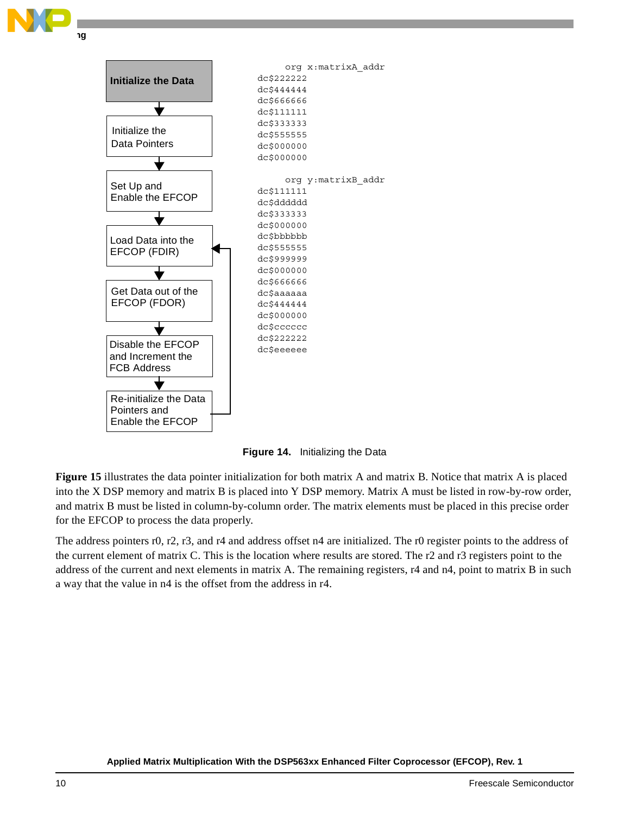

**Polling**



**Figure 14.** Initializing the Data

<span id="page-9-0"></span>**[Figure 15](#page-10-0)** illustrates the data pointer initialization for both matrix A and matrix B. Notice that matrix A is placed into the X DSP memory and matrix B is placed into Y DSP memory. Matrix A must be listed in row-by-row order, and matrix B must be listed in column-by-column order. The matrix elements must be placed in this precise order for the EFCOP to process the data properly.

The address pointers r0, r2, r3, and r4 and address offset n4 are initialized. The r0 register points to the address of the current element of matrix C. This is the location where results are stored. The r2 and r3 registers point to the address of the current and next elements in matrix A. The remaining registers, r4 and n4, point to matrix B in such a way that the value in n4 is the offset from the address in r4.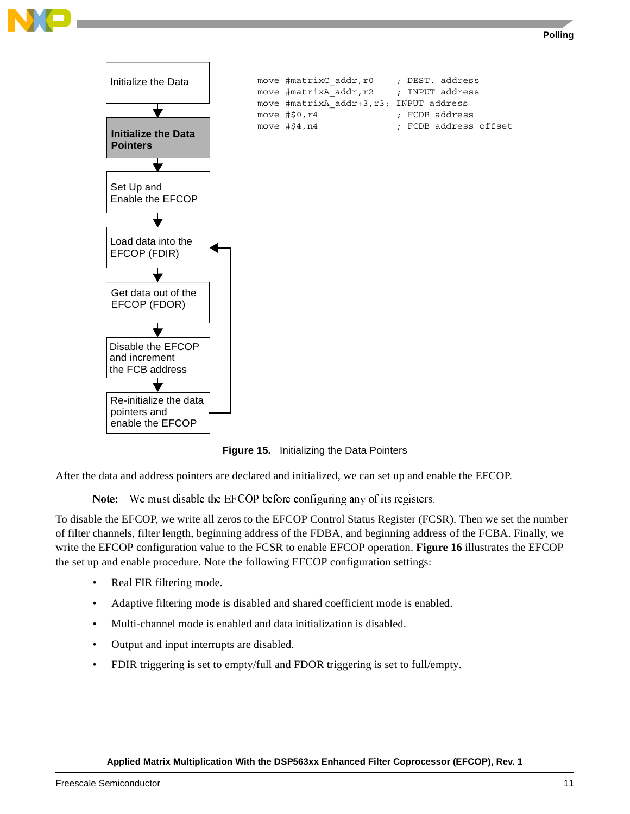



**Figure 15.** Initializing the Data Pointers

<span id="page-10-0"></span>After the data and address pointers are declared and initialized, we can set up and enable the EFCOP.

Note: We must disable the EFCOP before configuring any of its registers.

To disable the EFCOP, we write all zeros to the EFCOP Control Status Register (FCSR). Then we set the number of filter channels, filter length, beginning address of the FDBA, and beginning address of the FCBA. Finally, we write the EFCOP configuration value to the FCSR to enable EFCOP operation. **[Figure 16](#page-11-0)** illustrates the EFCOP the set up and enable procedure. Note the following EFCOP configuration settings:

- Real FIR filtering mode.
- Adaptive filtering mode is disabled and shared coefficient mode is enabled.
- Multi-channel mode is enabled and data initialization is disabled.
- Output and input interrupts are disabled.
- FDIR triggering is set to empty/full and FDOR triggering is set to full/empty.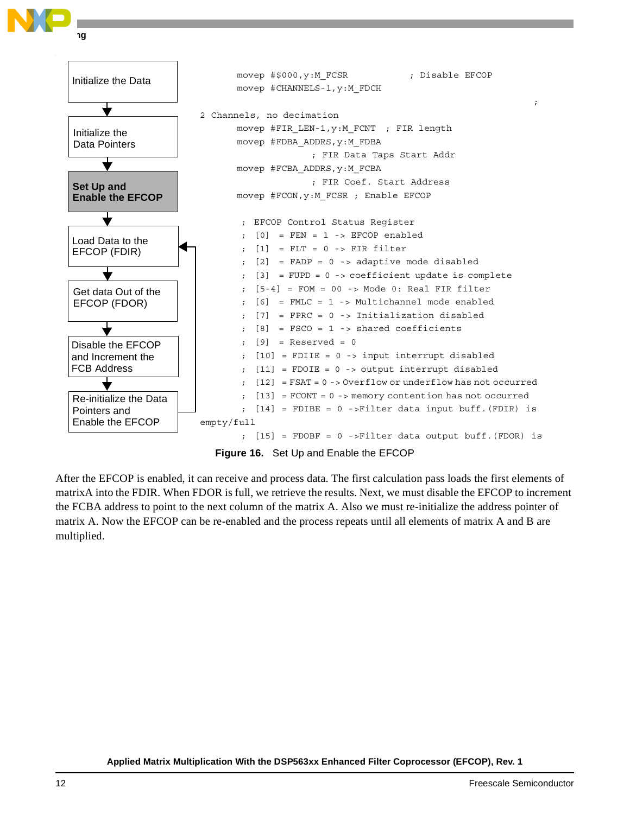

**Polling**



**Figure 16.** Set Up and Enable the EFCOP

<span id="page-11-0"></span>After the EFCOP is enabled, it can receive and process data. The first calculation pass loads the first elements of matrixA into the FDIR. When FDOR is full, we retrieve the results. Next, we must disable the EFCOP to increment the FCBA address to point to the next column of the matrix A. Also we must re-initialize the address pointer of matrix A. Now the EFCOP can be re-enabled and the process repeats until all elements of matrix A and B are multiplied.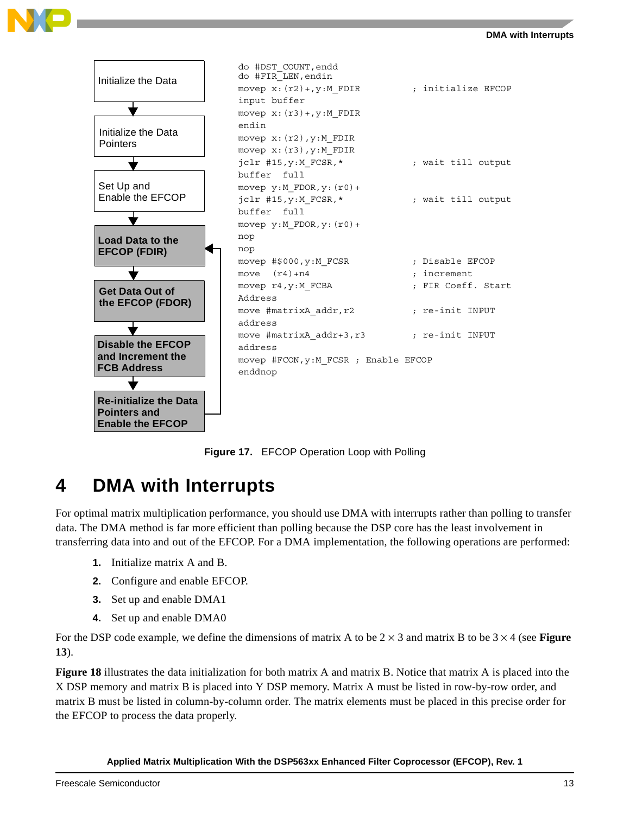



**Figure 17.** EFCOP Operation Loop with Polling

### <span id="page-12-0"></span>**4 DMA with Interrupts**

For optimal matrix multiplication performance, you should use DMA with interrupts rather than polling to transfer data. The DMA method is far more efficient than polling because the DSP core has the least involvement in transferring data into and out of the EFCOP. For a DMA implementation, the following operations are performed:

- **1.** Initialize matrix A and B.
- **2.** Configure and enable EFCOP.
- **3.** Set up and enable DMA1
- **4.** Set up and enable DMA0

For the DSP code example, we define the dimensions of matrix A to be  $2 \times 3$  and matrix B to be  $3 \times 4$  (see **Figure**) **[13](#page-8-0)**).

**[Figure 18](#page-13-0)** illustrates the data initialization for both matrix A and matrix B. Notice that matrix A is placed into the X DSP memory and matrix B is placed into Y DSP memory. Matrix A must be listed in row-by-row order, and matrix B must be listed in column-by-column order. The matrix elements must be placed in this precise order for the EFCOP to process the data properly.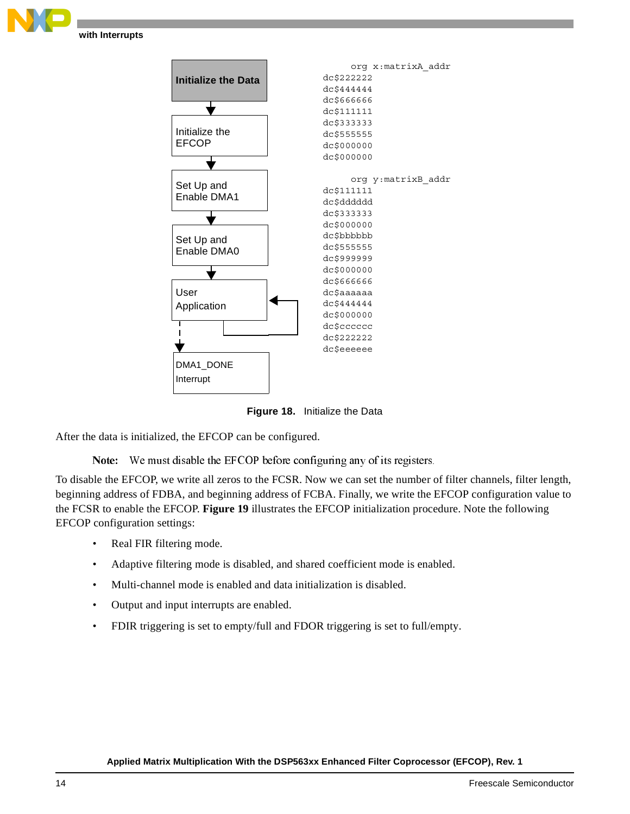



**Figure 18.** Initialize the Data

<span id="page-13-0"></span>After the data is initialized, the EFCOP can be configured.

Note: We must disable the EFCOP before configuring any of its registers.

To disable the EFCOP, we write all zeros to the FCSR. Now we can set the number of filter channels, filter length, beginning address of FDBA, and beginning address of FCBA. Finally, we write the EFCOP configuration value to the FCSR to enable the EFCOP. **[Figure 19](#page-14-0)** illustrates the EFCOP initialization procedure. Note the following EFCOP configuration settings:

- Real FIR filtering mode.
- Adaptive filtering mode is disabled, and shared coefficient mode is enabled.
- Multi-channel mode is enabled and data initialization is disabled.
- Output and input interrupts are enabled.
- FDIR triggering is set to empty/full and FDOR triggering is set to full/empty.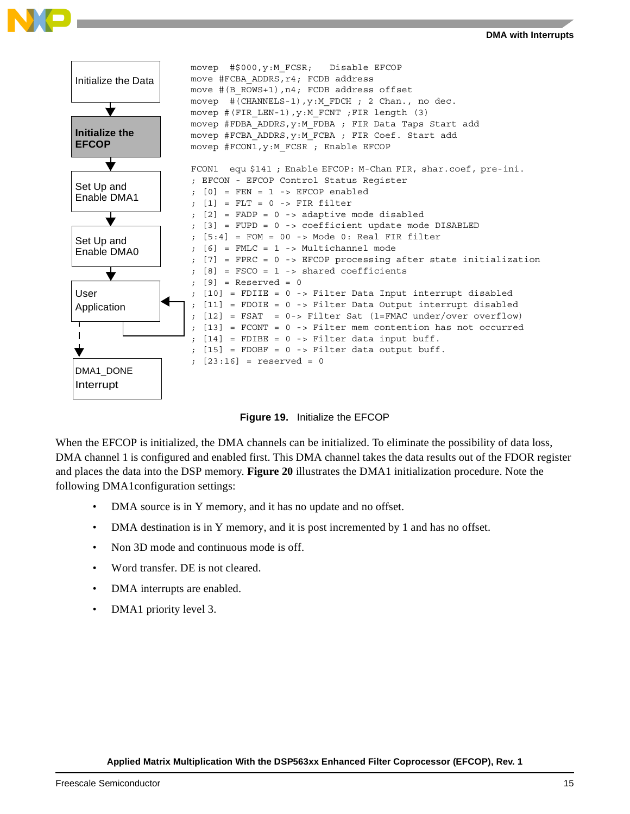



**Figure 19.** Initialize the EFCOP

<span id="page-14-0"></span>When the EFCOP is initialized, the DMA channels can be initialized. To eliminate the possibility of data loss, DMA channel 1 is configured and enabled first. This DMA channel takes the data results out of the FDOR register and places the data into the DSP memory. **[Figure 20](#page-15-0)** illustrates the DMA1 initialization procedure. Note the following DMA1configuration settings:

- DMA source is in Y memory, and it has no update and no offset.
- DMA destination is in Y memory, and it is post incremented by 1 and has no offset.
- Non 3D mode and continuous mode is off.
- Word transfer. DE is not cleared.
- DMA interrupts are enabled.
- DMA1 priority level 3.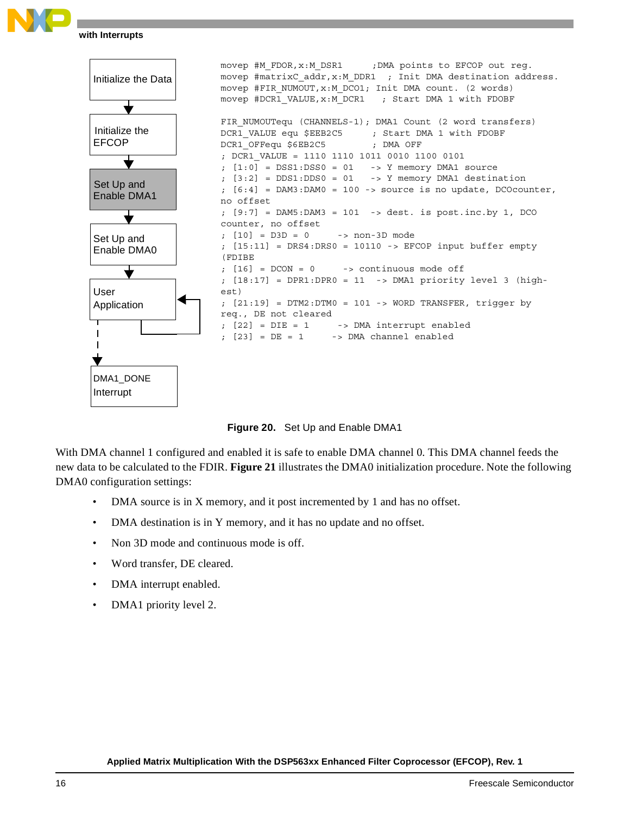

**Figure 20.** Set Up and Enable DMA1

<span id="page-15-0"></span>With DMA channel 1 configured and enabled it is safe to enable DMA channel 0. This DMA channel feeds the new data to be calculated to the FDIR. **[Figure 21](#page-16-0)** illustrates the DMA0 initialization procedure. Note the following DMA0 configuration settings:

- DMA source is in X memory, and it post incremented by 1 and has no offset.
- DMA destination is in Y memory, and it has no update and no offset.
- Non 3D mode and continuous mode is off.
- Word transfer, DE cleared.
- DMA interrupt enabled.
- DMA1 priority level 2.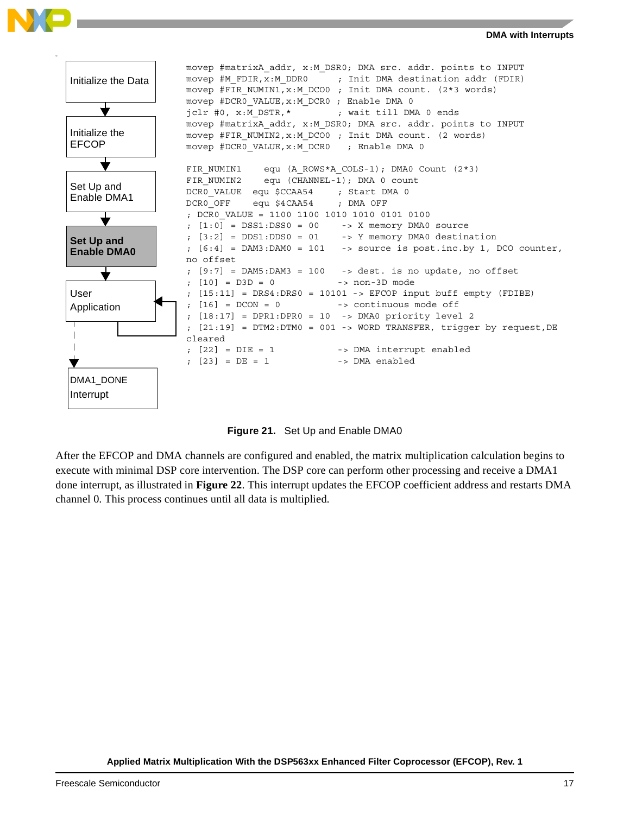**DMA with Interrupts**



**Figure 21.** Set Up and Enable DMA0

<span id="page-16-0"></span>After the EFCOP and DMA channels are configured and enabled, the matrix multiplication calculation begins to execute with minimal DSP core intervention. The DSP core can perform other processing and receive a DMA1 done interrupt, as illustrated in **[Figure 22](#page-17-0)**. This interrupt updates the EFCOP coefficient address and restarts DMA channel 0. This process continues until all data is multiplied.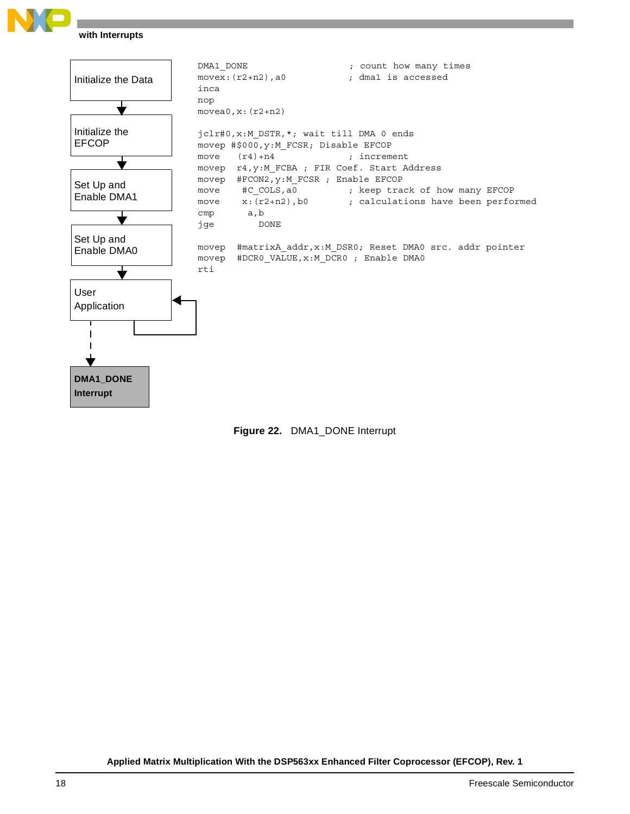

<span id="page-17-0"></span>**Figure 22.** DMA1\_DONE Interrupt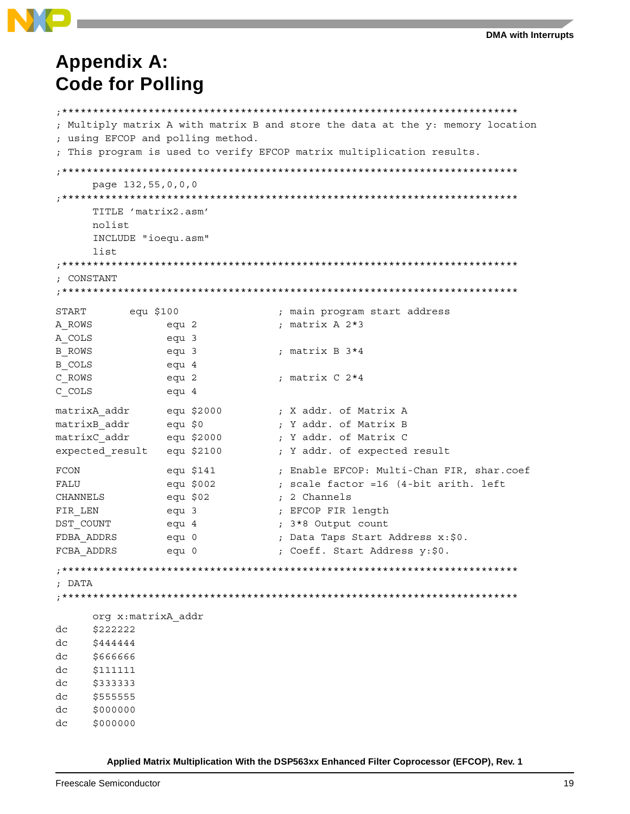## **Appendix A: Code for Polling**

```
; Multiply matrix A with matrix B and store the data at the y: memory location
; using EFCOP and polling method.
; This program is used to verify EFCOP matrix multiplication results.
page 132,55,0,0,0
TITLE 'matrix2.asm'
   nolist
    INCLUDE "ioequ.asm"
    list
; CONSTANT
START
        equ $100
                        ; main program start address
A ROWS
            equ 2
                        ; matrix A 2*3
A COLS
            equ 3
B ROWS
            equ 3
                        ; matrix B 3*4
B COLS
            equ 4
C ROWS
                        ; matrix C 2*4
            equ 2
\mathtt{C} \mathtt{COLS}equ 4
            equ $2000
                        ; X addr. of Matrix A
matrixA addr
matrixB addr
            equ $0
                        ; Y addr. of Matrix B
matrixC addr
                        ; Y addr. of Matrix C
            equ $2000
expected result
            equ $2100
                        ; Y addr. of expected result
FCON
                        ; Enable EFCOP: Multi-Chan FIR, shar.coef
            equ $141
                        ; scale factor =16 (4-bit arith. left
FALU
            equ $002
CHANNELS
            equ $02
                        ; 2 Channels
FIR LEN
                        ; EFCOP FIR length
            equ 3
DST COUNT
            equ 4
                        ; 3*8 Output count
FDBA ADDRS
                        ; Data Taps Start Address x: $0.
            equ 0
FCBA ADDRS
            equ 0
                        ; Coeff. Start Address y:$0.
; DATA
org x:matrixA addr
    $222222
dcdc$444444
   $666666
dс
   $111111
de
dc
   $333333
dс
   $555555
dc
    $000000
    $000000
dc
```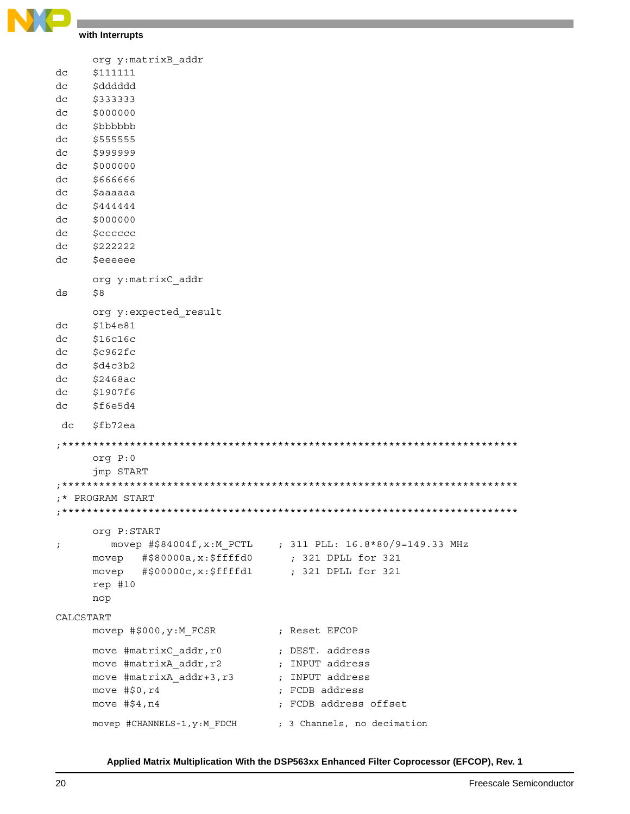```
with Interrupts
```
org y: matrixB addr  $dc$ \$111111 \$dddddd dс dc \$333333 \$000000 dc dc \$bbbbbb \$555555 dc  $dc$ \$999999 \$000000 dc  $dc$ \$666666 **Saaaaaa** dc \$444444 dc  $dc$ \$000000  $dc$ **Sececce** dc \$222222 dc *\$eeeeee* org y: matrixC addr  $ds$  $$8$ org y: expected result dc  $$1b4e81$  $dc$  $$16c16c$  $$c962fc$ dc dc  $$d4c3b2$  $$2468ac$ dc \$1907f6 dc  $dc$  $$f6e5d4$ dc \$fb72ea org P:0 jmp START ;\* PROGRAM START org P:START movep #\$84004f, x: M PCTL ; 311 PLL: 16.8\*80/9=149.33 MHz  $\ddot{i}$ ; 321 DPLL for 321 movep #\$80000a,x:\$ffffd0  $\sharp$ \$00000c,x:\$ffffdl ; 321 DPLL for 321 movep rep #10 nop CALCSTART movep #\$000, y:M FCSR ; Reset EFCOP move #matrixC addr, r0 ; DEST. address move #matrixA addr, r2 ; INPUT address move #matrixA addr+3, r3 ; INPUT address ; FCDB address move #\$0,r4

Applied Matrix Multiplication With the DSP563xx Enhanced Filter Coprocessor (EFCOP), Rev. 1

; FCDB address offset

; 3 Channels, no decimation

move #\$4, n4

movep #CHANNELS-1, y:M FDCH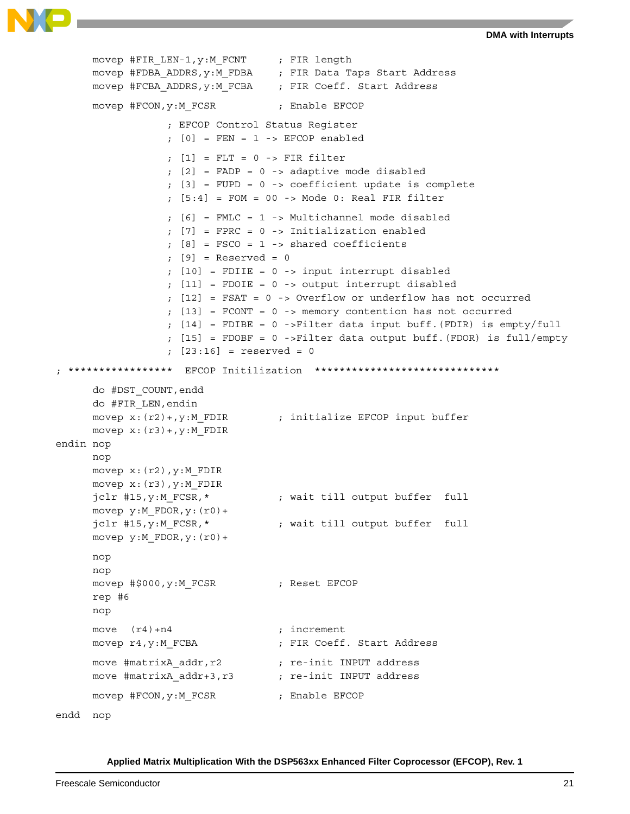

```
movep #FIR LEN-1, y:M FCNT ; FIR length
     movep #FDBA_ADDRS,y:M_FDBA ; FIR Data Taps Start Address
     movep #FCBA_ADDRS,y:M_FCBA ; FIR Coeff. Start Address
     movep #FCON, y: M FCSR ; Enable EFCOP
                  ; EFCOP Control Status Register
                 ; [0] = FEN = 1 -> EFCOP enabled ; [1] = FLT = 0 -> FIR filter
                 ; [2] = FADP = 0 -> adaptive mode disabled
                 ; [3] = FUPD = 0 -> coefficient update is complete
                 ; [5:4] = FOM = 00 -> Mode 0: Real FIR filter
                  ; [6] = FMLC = 1 -> Multichannel mode disabled
                 ; [7] = FPRC = 0 -> Initialization enabled
                 ; [8] = FSCO = 1 -> shared coefficients; [9] = Reserved = 0
                 ; [10] = FDIIE = 0 -> input interrupt disabled
                 ; [11] = FDOIE = 0 -> output interrupt disabled
                 ; [12] = FSAT = 0 -> Overflow or underflow has not occurred
                 ; [13] = FCONT = 0 -> memory contention has not occurred
                 ; [14] = FDIBE = 0 ->Filter data input buff.(FDIR) is empty/full
                 ; [15] = FDOBF = 0 ->Filter data output buff.(FDOR) is full/empty
                 ; [23:16] = reserved = 0
; ***************** EFCOP Initilization ******************************
     do #DST_COUNT,endd
     do #FIR_LEN,endin
     movep x:(r2)+, y:M_FDIR ; initialize EFCOP input buffer
     movep x: (r3) +, y:M FDIR
endin nop
     nop
     movep x:(r2),y:M_FDIR
     movep x:(r3),y:M_FDIR
     jclr #15, y:M_FCSR, * ; wait till output buffer full
     movep y:M FDOR, y:(r0)+jclr #15, y: M_FCSR, * (a) } wait till output buffer full
     movep y:M FDOR, y:(r0)+nop
     nop
     movep #$000, y:M FCSR ; Reset EFCOP
     rep #6
     nop
     move (r4) + n4 ; increment
     movep r4, y: M FCBA ; FIR Coeff. Start Address
     move #matrixA addr,r2 ; re-init INPUT address
     move #matrixA addr+3,r3 ; re-init INPUT address
     movep #FCON, y: M FCSR ; Enable EFCOP
```
endd nop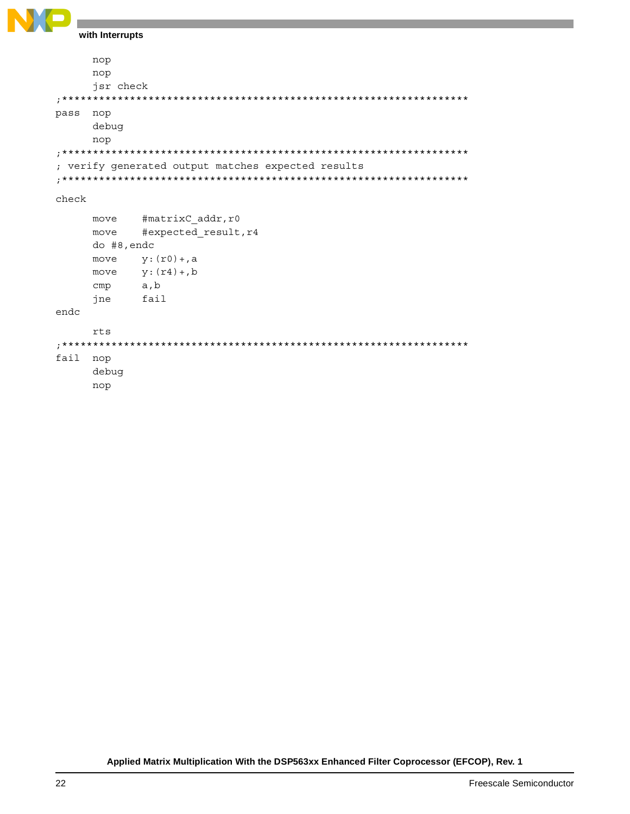

with Interrupts

| pass  | nop<br>nop<br>jsr check<br>nop<br>debug                   |                                                                                    |
|-------|-----------------------------------------------------------|------------------------------------------------------------------------------------|
|       | nop                                                       |                                                                                    |
|       |                                                           |                                                                                    |
|       |                                                           | ; verify generated output matches expected results                                 |
| check |                                                           |                                                                                    |
| endc  | move<br>move<br>do #8, endc<br>move<br>a, b<br>cmp<br>jne | #matrixC addr, r0<br>#expected result, r4<br>y:(r0)+,a<br>move $y:(r4)+(b$<br>fail |
|       | rts                                                       |                                                                                    |
|       |                                                           |                                                                                    |
| fail  | nop<br>debug<br>nop                                       |                                                                                    |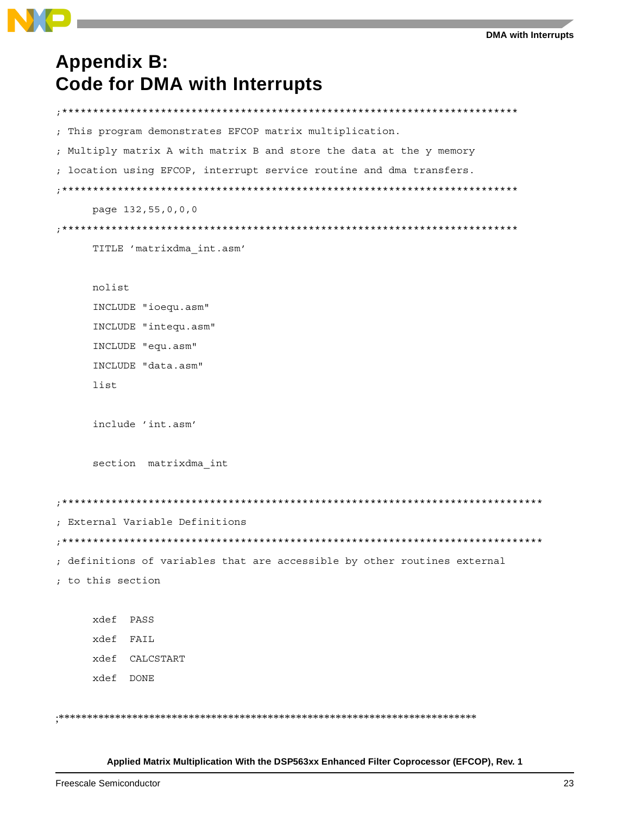# **Appendix B:**

## **Code for DMA with Interrupts**

```
; This program demonstrates EFCOP matrix multiplication.
; Multiply matrix A with matrix B and store the data at the y memory
; location using EFCOP, interrupt service routine and dma transfers.
page 132,55,0,0,0
TITLE 'matrixdma int.asm'
   nolist
   INCLUDE "ioequ.asm"
   INCLUDE "intequ.asm"
   INCLUDE "equ.asm"
   INCLUDE "data.asm"
   list
   include 'int.asm'
   section matrixdma int
; External Variable Definitions
; definitions of variables that are accessible by other routines external
; to this section
   xdef PASS
   xdef FAIL
   xdef CALCSTART
   xdef DONE
```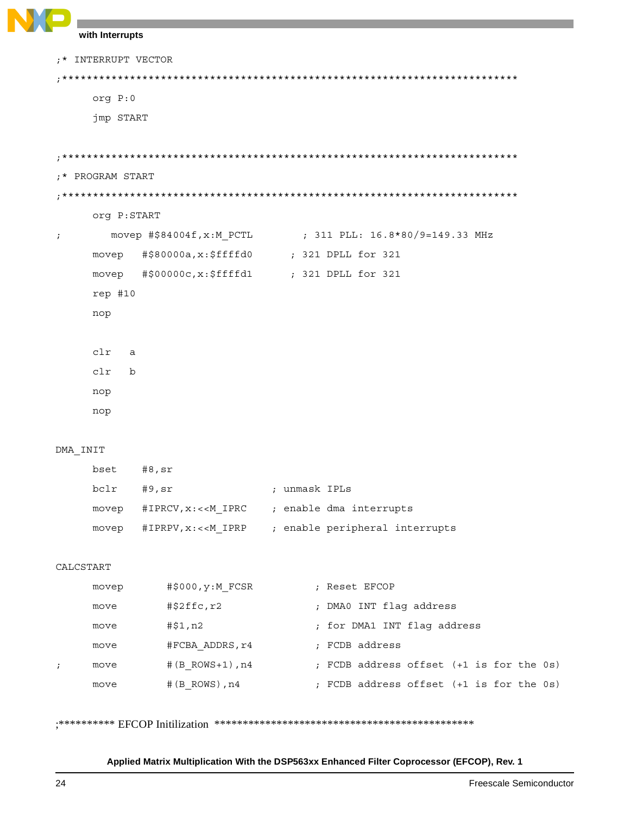with Interrupts

```
;* INTERRUPT VECTOR
org P:0jmp START
;* PROGRAM START
org P:START
     movep #$84004f, x:M PCTL ; 311 PLL: 16.8*80/9=149.33 MHz
\mathbf{r}#$80000a,x:$ffffd0 ; 321 DPLL for 321
    movep
   movep
        rep#10
   nop
    clr\mathsf{a}clr\mathbf bnop
    nop
DMA INIT
   bset
        #8,sr
   bclr
        #9,sr
                      ; unmask IPLs
        #IPRCV,x:<<M_IPRC
                      ; enable dma interrupts
   movep
         #IPRPV, x: << M IPRP
                      ; enable peripheral interrupts
    movep
CALCSTART
                          ; Reset EFCOP
   movep
           #$000,y:M_FCSR
           #$2ffc,r2
                           ; DMA0 INT flag address
   move
           #$1, n2
                           ; for DMA1 INT flag address
   move
                           ; FCDB address
           #FCBA ADDRS, r4
   move
           # (B_ROWS+1), n4
                           ; FCDB address offset (+1 is for the 0s)
   move
\cdot\#(B ROWS), n4
                            ; FCDB address offset (+1 is for the 0s)
   move
```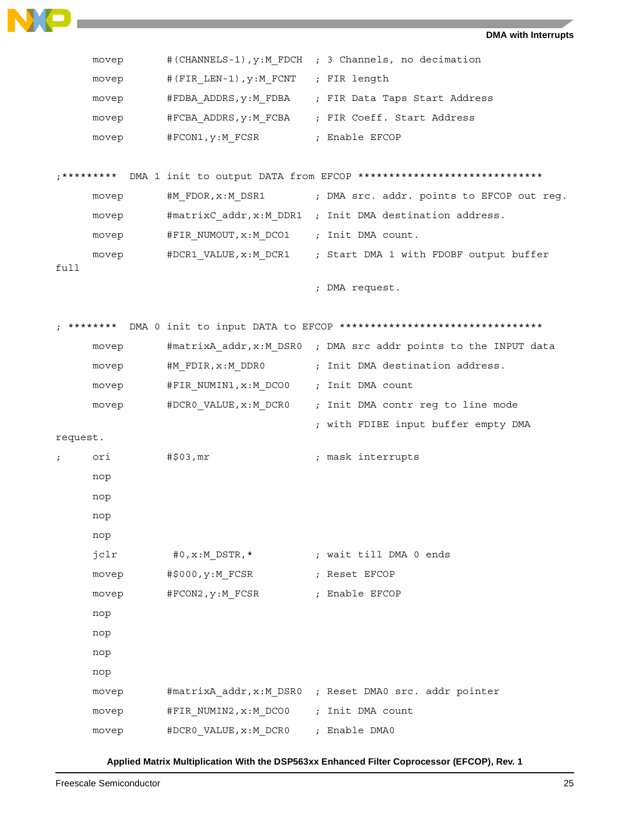| $\mathbb{R}^n$ |            |                     |                                          | <b>DMA</b> with Interrupts                                           |
|----------------|------------|---------------------|------------------------------------------|----------------------------------------------------------------------|
|                |            | movep               |                                          | # (CHANNELS-1), y:M FDCH ; 3 Channels, no decimation                 |
|                |            | movep               | # (FIR LEN-1), y: M FCNT ; FIR length    |                                                                      |
|                |            | movep               |                                          | #FDBA_ADDRS, y: M_FDBA ; FIR Data Taps Start Address                 |
|                |            | movep               |                                          | #FCBA ADDRS, y: M FCBA ; FIR Coeff. Start Address                    |
|                |            | movep               | #FCON1,y:M FCSR                          | ; Enable EFCOP                                                       |
|                |            |                     |                                          |                                                                      |
|                |            | ; * * * * * * * * * |                                          | DMA 1 init to output DATA from EFCOP ******************************* |
|                |            | movep               | #M FDOR, x:M_DSR1                        | ; DMA src. addr. points to EFCOP out reg.                            |
|                |            | movep               |                                          | #matrixC_addr,x:M_DDR1 ; Init DMA destination address.               |
|                |            | movep               | #FIR NUMOUT, x: M DCO1 ; Init DMA count. |                                                                      |
|                |            | movep               | #DCR1 VALUE,x:M DCR1                     | ; Start DMA 1 with FDOBF output buffer                               |
|                | full       |                     |                                          |                                                                      |
|                |            |                     |                                          | ; DMA request.                                                       |
|                |            | ********            |                                          | DMA 0 init to input DATA to EFCOP ********************************** |
|                |            | movep               |                                          | #matrixA addr, x: M DSR0 ; DMA src addr points to the INPUT data     |
|                |            | movep               | #M FDIR, x:M DDR0                        | ; Init DMA destination address.                                      |
|                |            | movep               | #FIR_NUMIN1,x:M_DCO0                     | ; Init DMA count                                                     |
|                |            | movep               | #DCRO_VALUE, x:M_DCRO                    | ; Init DMA contr reg to line mode                                    |
|                |            |                     |                                          | ; with FDIBE input buffer empty DMA                                  |
|                | request.   |                     |                                          |                                                                      |
|                | $\ddot{i}$ | ori                 | #\$03,mr                                 | ; mask interrupts                                                    |
|                |            | nop                 |                                          |                                                                      |
|                |            | nop                 |                                          |                                                                      |
|                |            | nop                 |                                          |                                                                      |
|                |            | nop                 |                                          |                                                                      |
|                |            | jclr                | $#0, x : M$ DSTR, *                      | ; wait till DMA 0 ends                                               |
|                |            | movep               | #\$000,y:M FCSR                          | ; Reset EFCOP                                                        |
|                |            | movep               | #FCON2, y:M FCSR                         | ; Enable EFCOP                                                       |
|                |            | nop                 |                                          |                                                                      |
|                |            | nop                 |                                          |                                                                      |
|                |            | nop                 |                                          |                                                                      |
|                |            | nop                 |                                          |                                                                      |
|                |            | movep               |                                          | #matrixA addr, x: M DSR0 ; Reset DMA0 src. addr pointer              |
|                |            | movep               | #FIR NUMIN2, x: M DCO0 ; Init DMA count  |                                                                      |
|                |            | movep               | #DCR0 VALUE, x:M DCR0                    | ; Enable DMA0                                                        |
|                |            |                     |                                          |                                                                      |

**Applied Matrix Multiplication With the DSP563xx Enhanced Filter Coprocessor (EFCOP), Rev. 1**

R

 $\Box$ 

**Contract**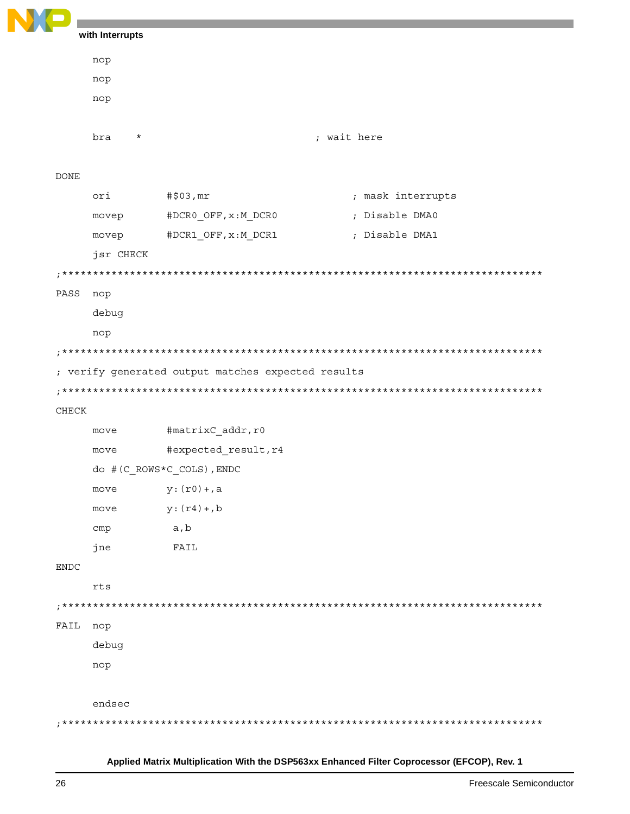|             | with Interrupts |                                                    |                   |
|-------------|-----------------|----------------------------------------------------|-------------------|
|             | nop             |                                                    |                   |
|             | nop             |                                                    |                   |
|             | nop             |                                                    |                   |
|             | bra<br>$\star$  |                                                    | ; wait here       |
| <b>DONE</b> |                 |                                                    |                   |
|             | ori             | #\$03, mr                                          | ; mask interrupts |
|             | movep           | #DCRO_OFF, x:M_DCRO                                | ; Disable DMA0    |
|             | movep           | #DCR1_OFF, x: M_DCR1                               | ; Disable DMA1    |
|             | jsr CHECK       |                                                    |                   |
|             |                 |                                                    |                   |
| PASS        | nop             |                                                    |                   |
|             | debug           |                                                    |                   |
|             | nop             |                                                    |                   |
|             |                 |                                                    |                   |
|             |                 | ; verify generated output matches expected results |                   |
| CHECK       |                 |                                                    |                   |
|             | move            | #matrixC_addr,r0                                   |                   |
|             | move            | #expected_result, r4                               |                   |
|             |                 | do #(C_ROWS*C_COLS), ENDC                          |                   |
|             | move            | $y: (r0) +$ , a                                    |                   |
|             | move            | $y: (r4) +$ , b                                    |                   |
|             | cmp             | a, b                                               |                   |
|             | jne             | FAIL                                               |                   |
| ENDC        |                 |                                                    |                   |
|             | rts             |                                                    |                   |
|             |                 |                                                    |                   |
|             | nop             |                                                    |                   |
| FAIL        | debug           |                                                    |                   |
|             | nop             |                                                    |                   |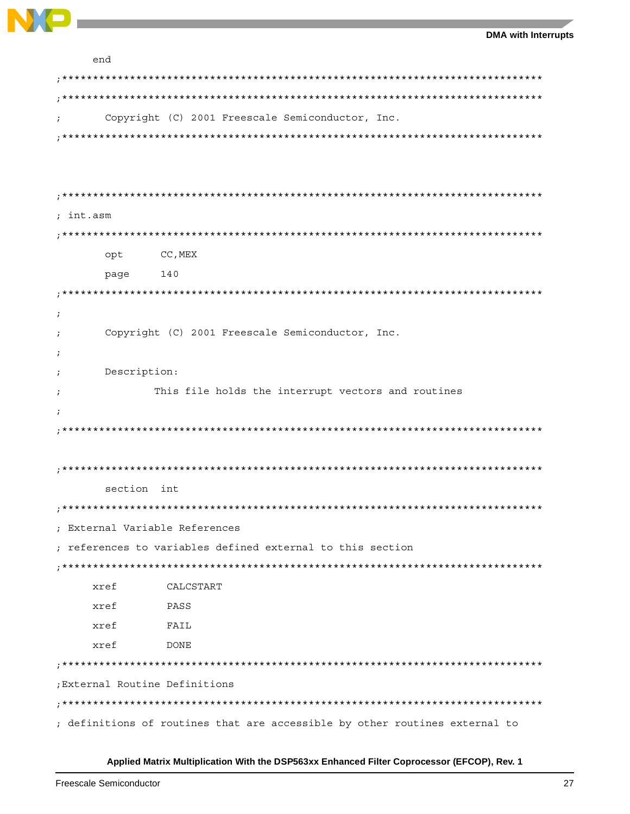

end Copyright (C) 2001 Freescale Semiconductor, Inc.  $\mathbf{r}$ ; int.asm CC, MEX opt page 140  $\cdot$ Copyright (C) 2001 Freescale Semiconductor, Inc.  $\cdot$  $\ddot{\phantom{0}}$ Description: This file holds the interrupt vectors and routines  $\ddot{i}$ section int ; External Variable References ; references to variables defined external to this section xref CALCSTART xref PASS FAIL xref **DONE** xref ; External Routine Definitions ; definitions of routines that are accessible by other routines external to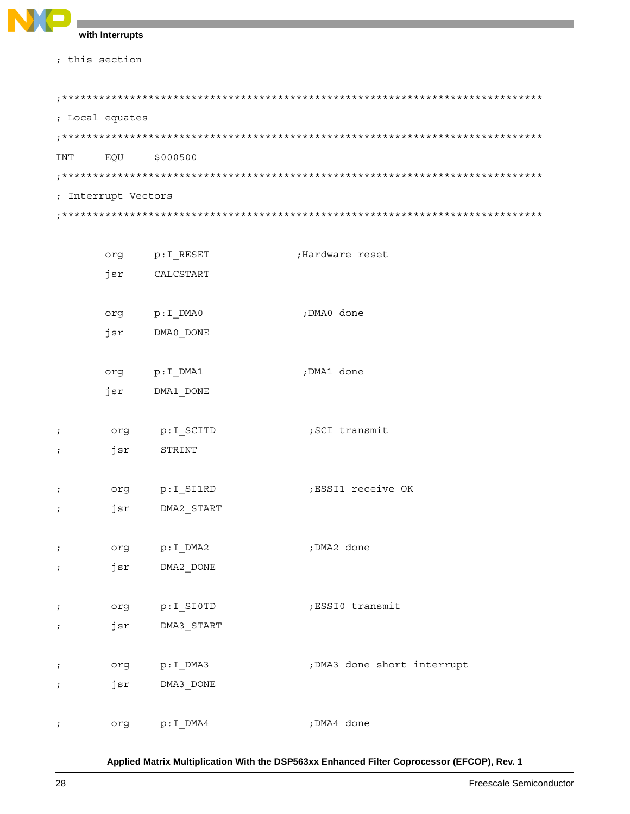

with Interrupts

; this section

| ; Local equates     |     |          |  |  |  |
|---------------------|-----|----------|--|--|--|
|                     |     |          |  |  |  |
| INT                 | EOU | \$000500 |  |  |  |
|                     |     |          |  |  |  |
| ; Interrupt Vectors |     |          |  |  |  |
|                     |     |          |  |  |  |

|    | org | $p:I\_RESET$       | ;Hardware reset             |
|----|-----|--------------------|-----------------------------|
|    |     | jsr CALCSTART      |                             |
|    |     |                    |                             |
|    |     | org p:IDMA0        | ;DMA0 done                  |
|    |     | $jsr$ DMA0_DONE    |                             |
|    |     |                    |                             |
|    |     | org p:I_DMA1       | ;DMA1 done                  |
|    |     | jsr DMA1 DONE      |                             |
|    |     |                    |                             |
| ï  |     | org p:I_SCITD      | ; SCI transmit              |
| ï  | jsr | STRINT             |                             |
|    |     |                    |                             |
| ï  |     | org p:I_SI1RD      | ;ESSI1 receive OK           |
| ï  | jsr | DMA2 START         |                             |
|    |     |                    |                             |
| ;  |     | org p:I_DMA2       | ; DMA2 done                 |
| ï  | jsr | DMA2_DONE          |                             |
|    |     |                    |                             |
| ;  |     | $org$ $p:I\_SIOTD$ | ;ESSI0 transmit             |
| ï  | jsr | DMA3 START         |                             |
|    |     |                    |                             |
| ï  |     | org p:I_DMA3       | ; DMA3 done short interrupt |
| i  | jsr | DMA3_DONE          |                             |
|    |     |                    |                             |
| i, |     | org p:I_DMA4       | ;DMA4 done                  |
|    |     |                    |                             |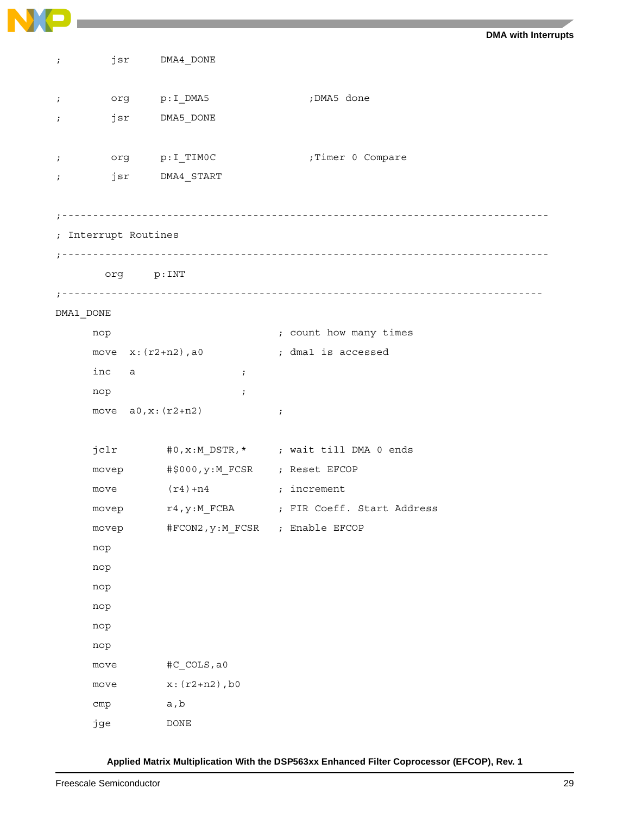|            |                      |                                 | <b>DMA</b> with Interrupts                |
|------------|----------------------|---------------------------------|-------------------------------------------|
| $\ddot{r}$ |                      | $jsr$ DMA4_DONE                 |                                           |
| $\ddot{i}$ |                      | org p:I_DMA5                    | ;DMA5 done                                |
| $\ddot{ }$ | jsr                  | DMA5_DONE                       |                                           |
| $\ddot{ }$ |                      | org p:I_TIMOC                   | ;Timer 0 Compare                          |
| $\ddot{ }$ | jsr                  | DMA4_START                      |                                           |
|            | ; Interrupt Routines |                                 |                                           |
|            | org p:INT            |                                 |                                           |
|            | DMA1_DONE            |                                 |                                           |
|            | nop                  |                                 | ; count how many times                    |
|            |                      | move $x: (r2+n2)$ , a0          | ; dmal is accessed                        |
|            | inc<br>a             | $\ddot{i}$                      |                                           |
|            | nop                  | $\ddot{\phantom{0}}$            |                                           |
|            |                      | move $a0, x: (r2+n2)$           | $\ddot{i}$                                |
|            |                      |                                 | jclr #0,x:M_DSTR,* ; wait till DMA 0 ends |
|            | movep                | #\$000, y: M_FCSR ; Reset EFCOP |                                           |
|            | move                 | $(r4) + n4$                     | ; increment                               |
|            | movep                | r4, y:M FCBA                    | ; FIR Coeff. Start Address                |
|            | movep                | #FCON2, y:M_FCSR                | ; Enable EFCOP                            |
|            | nop                  |                                 |                                           |
|            | nop                  |                                 |                                           |
|            | nop                  |                                 |                                           |
|            | nop                  |                                 |                                           |
|            | nop                  |                                 |                                           |
|            | nop                  |                                 |                                           |
|            | move                 | #C COLS, a0                     |                                           |
|            |                      |                                 |                                           |
|            | move                 | $x: (r2+n2)$ , b0               |                                           |
|            | cmp                  | a, b                            |                                           |

**Applied Matrix Multiplication With the DSP563xx Enhanced Filter Coprocessor (EFCOP), Rev. 1**

N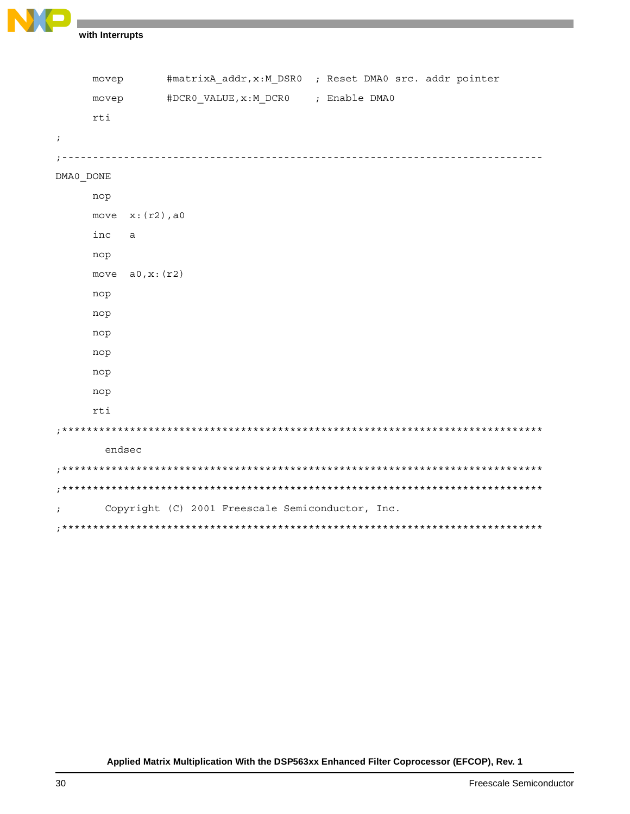```
NO
```
with Interrupts

|            | movep              | #matrixA_addr, x: M_DSR0 ; Reset DMA0 src. addr pointer |               |  |
|------------|--------------------|---------------------------------------------------------|---------------|--|
|            | movep              | #DCRO_VALUE, x:M_DCRO                                   | ; Enable DMA0 |  |
|            | rti                |                                                         |               |  |
| $\ddot{i}$ |                    |                                                         |               |  |
|            |                    |                                                         |               |  |
| DMA0 DONE  |                    |                                                         |               |  |
|            | nop                |                                                         |               |  |
|            | move $x:(r2)$ , a0 |                                                         |               |  |
|            | inc<br>a           |                                                         |               |  |
|            | nop                |                                                         |               |  |
|            | move $a0, x: (r2)$ |                                                         |               |  |
|            | nop                |                                                         |               |  |
|            | nop                |                                                         |               |  |
|            | nop                |                                                         |               |  |
|            | nop                |                                                         |               |  |
|            | nop                |                                                         |               |  |
|            | nop                |                                                         |               |  |
|            | rti                |                                                         |               |  |
|            |                    |                                                         |               |  |
|            | endsec             |                                                         |               |  |
|            |                    |                                                         |               |  |
|            |                    |                                                         |               |  |
| $\ddot{i}$ |                    | Copyright (C) 2001 Freescale Semiconductor, Inc.        |               |  |
|            |                    |                                                         |               |  |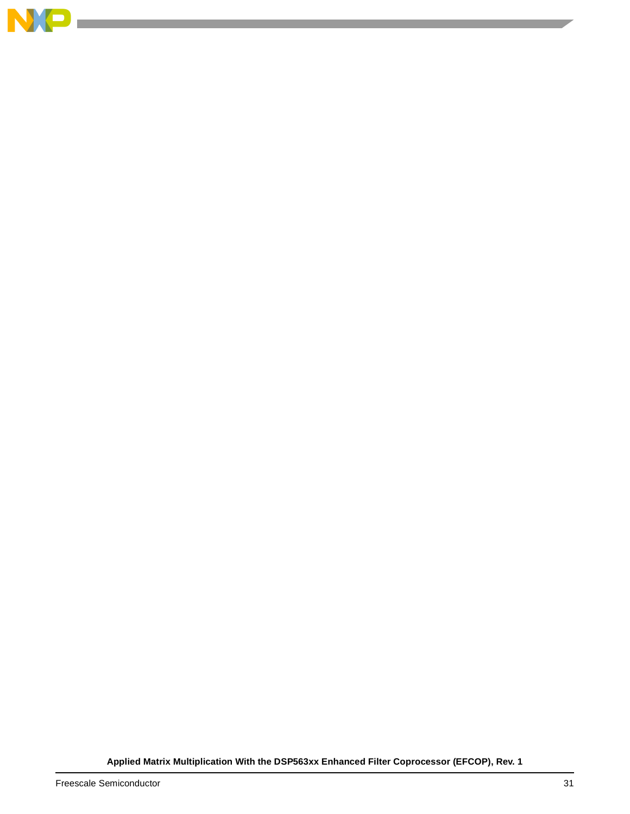

**Contract** 

**Applied Matrix Multiplication With the DSP563xx Enhanced Filter Coprocessor (EFCOP), Rev. 1**